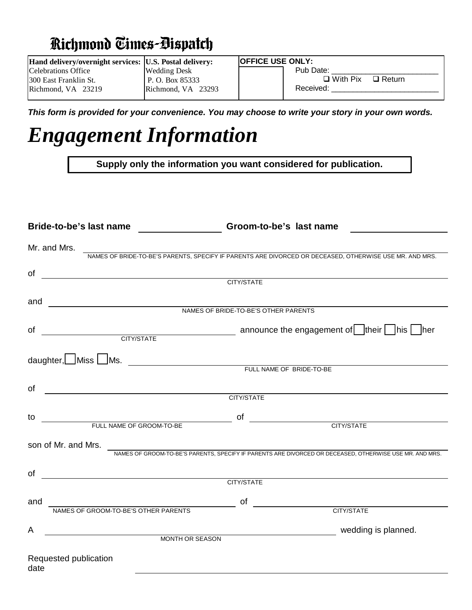## **Richmond Times-Bispatch**

| Hand delivery/overnight services:  U.S. Postal delivery: |                    | <b>OFFICE USE ONLY:</b>             |
|----------------------------------------------------------|--------------------|-------------------------------------|
| Celebrations Office                                      | Wedding Desk       | Pub Date:                           |
| 1300 East Franklin St.                                   | P. O. Box 85333    | $\square$ With Pix<br>$\Box$ Return |
| $Richmond. VA$ 23219                                     | Richmond, VA 23293 | Received:                           |
|                                                          |                    |                                     |

*This form is provided for your convenience. You may choose to write your story in your own words.*

## *Engagement Information*

**Supply only the information you want considered for publication.**

|           | Bride-to-be's last name _____________________Groom-to-be's last name<br><u> 1980 - Jan Samuel Barbara, político e a f</u>                                                                                                            |
|-----------|--------------------------------------------------------------------------------------------------------------------------------------------------------------------------------------------------------------------------------------|
|           | Mr. and Mrs.                                                                                                                                                                                                                         |
|           | NAMES OF BRIDE-TO-BE'S PARENTS, SPECIFY IF PARENTS ARE DIVORCED OR DECEASED, OTHERWISE USE MR. AND MRS.                                                                                                                              |
| of        | <u>CONSTRUCTION CONTINUES IN THE SERIES OF THE SERIES OF THE SERIES OF THE SERIES OF THE SERIES OF THE SERIES OF THE SERIES OF THE SERIES OF THE SERIES OF THE SERIES OF THE SERIES OF THE SERIES OF THE SERIES OF THE SERIES OF</u> |
| and       |                                                                                                                                                                                                                                      |
|           | NAMES OF BRIDE-TO-BE'S OTHER PARENTS                                                                                                                                                                                                 |
| of        | announce the engagement of their his her city/state                                                                                                                                                                                  |
|           | daughter, Miss Ms. Ms. This Music Report of the Manuscript of the Music Putch NAME OF BRIDE-TO-BE                                                                                                                                    |
|           |                                                                                                                                                                                                                                      |
| of        | <u> Espainia de la contrada de la contrada de la contrada de la contrada de la contrada de la contrada de la con</u>                                                                                                                 |
|           | CITY/STATE                                                                                                                                                                                                                           |
| to        | <b>CITY/STATE</b>                                                                                                                                                                                                                    |
|           | FULL NAME OF GROOM-TO-BE                                                                                                                                                                                                             |
|           | son of Mr. and Mrs.                                                                                                                                                                                                                  |
|           | NAMES OF GROOM-TO-BE'S PARENTS, SPECIFY IF PARENTS ARE DIVORCED OR DECEASED, OTHERWISE USE MR. AND MRS.                                                                                                                              |
| <b>of</b> | <u>CONTRACT CONTRACT CONTRACT CONTRACT CONTRACT CONTRACT CONTRACT CONTRACT CONTRACT CONTRACT CONTRACT CONTRACT CONTRACT CONTRACT CONTRACT CONTRACT CONTRACT CONTRACT CONTRACT CONTRACT CONTRACT CONTRACT CONTRACT CONTRACT CONTR</u> |
|           |                                                                                                                                                                                                                                      |
| and       | NAMES OF GROOM-TO-BE'S OTHER PARENTS<br><b>CITY/STATE</b>                                                                                                                                                                            |
|           |                                                                                                                                                                                                                                      |
| A         | MONTH OR SEASON WORKER WAS ARRESTED FOR A SEASON WORKER WAS ARRESTED FOR SEASON                                                                                                                                                      |
|           |                                                                                                                                                                                                                                      |
| date      | Requested publication                                                                                                                                                                                                                |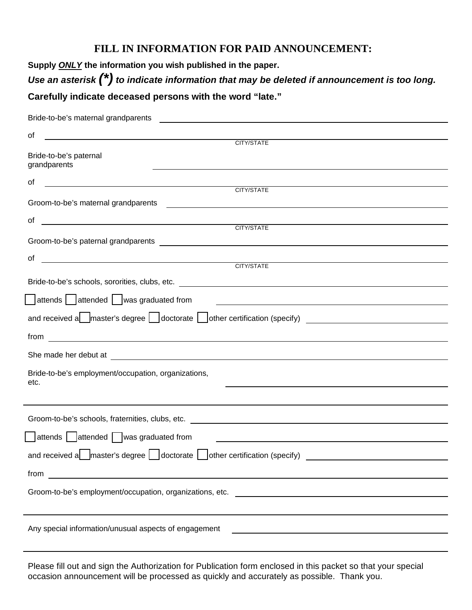## **FILL IN INFORMATION FOR PAID ANNOUNCEMENT:**

**Supply** *ONLY* **the information you wish published in the paper.** *Use an asterisk (\*) to indicate information that may be deleted if announcement is too long.* **Carefully indicate deceased persons with the word "late."**

| Bride-to-be's maternal grandparents                                                                                                                                                                                            |
|--------------------------------------------------------------------------------------------------------------------------------------------------------------------------------------------------------------------------------|
| of<br><u> 1989 - Andrea Stadt Britain, fransk politik (</u>                                                                                                                                                                    |
| CITY/STATE                                                                                                                                                                                                                     |
| Bride-to-be's paternal<br>grandparents                                                                                                                                                                                         |
| οf                                                                                                                                                                                                                             |
| CITY/STATE                                                                                                                                                                                                                     |
|                                                                                                                                                                                                                                |
| of $\overline{\phantom{a}}$                                                                                                                                                                                                    |
| CITY/STATE                                                                                                                                                                                                                     |
|                                                                                                                                                                                                                                |
| <u>CITY/STATE</u><br>of                                                                                                                                                                                                        |
|                                                                                                                                                                                                                                |
|                                                                                                                                                                                                                                |
| attends attended was graduated from<br><u> 1989 - Johann Barbara, martin amerikan basal dan berasal dan berasal dalam basal dalam basal dalam basal dala</u>                                                                   |
| and received a master's degree   doctorate   other certification (specify) ___________________________________                                                                                                                 |
|                                                                                                                                                                                                                                |
| She made her debut at the state of the state of the state of the state of the state of the state of the state of the state of the state of the state of the state of the state of the state of the state of the state of the s |
| Bride-to-be's employment/occupation, organizations,<br>etc.<br><u> 1989 - Johann Barbara, marka a shekara tsa 1989 - An tsa 1989 - An tsa 1989 - An tsa 1989 - An tsa 1989 - An</u>                                            |
|                                                                                                                                                                                                                                |
|                                                                                                                                                                                                                                |
| attends attended was graduated from                                                                                                                                                                                            |
| and received a $\Box$ master's degree $\Box$ doctorate $\Box$ other certification (specify)                                                                                                                                    |
| from                                                                                                                                                                                                                           |
| Groom-to-be's employment/occupation, organizations, etc.                                                                                                                                                                       |
|                                                                                                                                                                                                                                |
| Any special information/unusual aspects of engagement                                                                                                                                                                          |

Please fill out and sign the Authorization for Publication form enclosed in this packet so that your special occasion announcement will be processed as quickly and accurately as possible. Thank you.